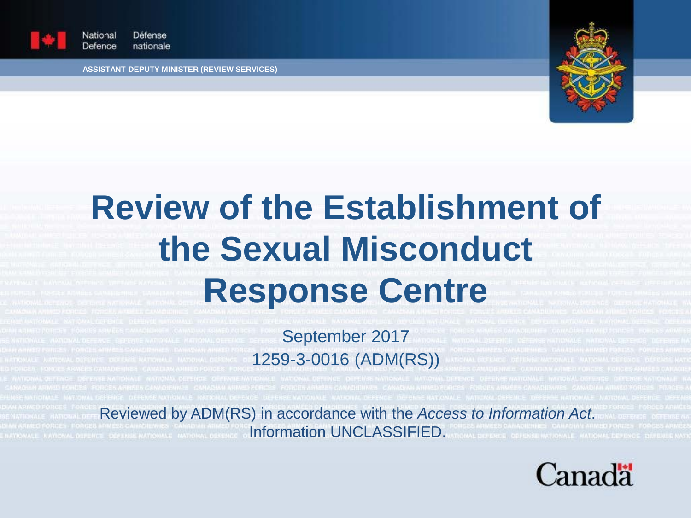

Défense Vational Defence nationale

**ASSISTANT DEPUTY MINISTER (REVIEW SERVICES)**



# **Review of the Establishment of the Sexual Misconduct Response Centre**

September 2017 1259-3-0016 (ADM(RS))

Reviewed by ADM(RS) in accordance with the *Access to Information Act*. **Information UNCLASSIFIED.** 

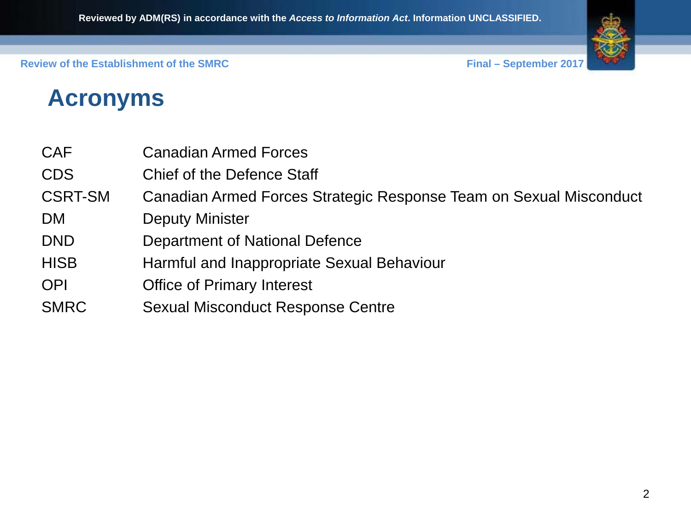

## **Acronyms**

- CAF Canadian Armed Forces
- CDS Chief of the Defence Staff
- CSRT-SM Canadian Armed Forces Strategic Response Team on Sexual Misconduct
- DM Deputy Minister
- DND Department of National Defence
- HISB Harmful and Inappropriate Sexual Behaviour
- OPI Office of Primary Interest
- SMRC Sexual Misconduct Response Centre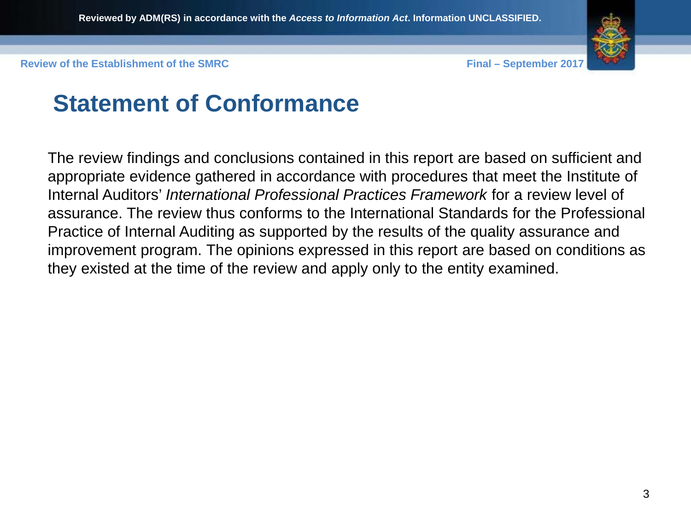

### **Statement of Conformance**

The review findings and conclusions contained in this report are based on sufficient and appropriate evidence gathered in accordance with procedures that meet the Institute of Internal Auditors' *International Professional Practices Framework* for a review level of assurance. The review thus conforms to the International Standards for the Professional Practice of Internal Auditing as supported by the results of the quality assurance and improvement program. The opinions expressed in this report are based on conditions as they existed at the time of the review and apply only to the entity examined.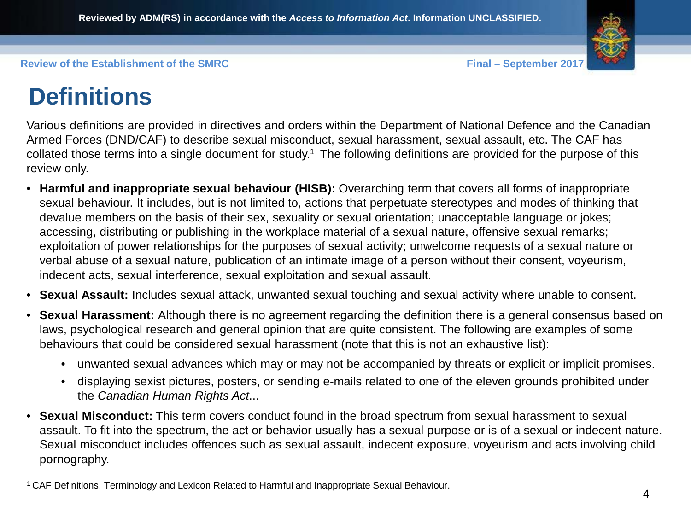## **Definitions**

Various definitions are provided in directives and orders within the Department of National Defence and the Canadian Armed Forces (DND/CAF) to describe sexual misconduct, sexual harassment, sexual assault, etc. The CAF has collated those terms into a single document for study.1 The following definitions are provided for the purpose of this review only.

- **Harmful and inappropriate sexual behaviour (HISB):** Overarching term that covers all forms of inappropriate sexual behaviour. It includes, but is not limited to, actions that perpetuate stereotypes and modes of thinking that devalue members on the basis of their sex, sexuality or sexual orientation; unacceptable language or jokes; accessing, distributing or publishing in the workplace material of a sexual nature, offensive sexual remarks; exploitation of power relationships for the purposes of sexual activity; unwelcome requests of a sexual nature or verbal abuse of a sexual nature, publication of an intimate image of a person without their consent, voyeurism, indecent acts, sexual interference, sexual exploitation and sexual assault.
- **Sexual Assault:** Includes sexual attack, unwanted sexual touching and sexual activity where unable to consent.
- **Sexual Harassment:** Although there is no agreement regarding the definition there is a general consensus based on laws, psychological research and general opinion that are quite consistent. The following are examples of some behaviours that could be considered sexual harassment (note that this is not an exhaustive list):
	- unwanted sexual advances which may or may not be accompanied by threats or explicit or implicit promises.
	- displaying sexist pictures, posters, or sending e-mails related to one of the eleven grounds prohibited under the *Canadian Human Rights Act*...
- **Sexual Misconduct:** This term covers conduct found in the broad spectrum from sexual harassment to sexual assault. To fit into the spectrum, the act or behavior usually has a sexual purpose or is of a sexual or indecent nature. Sexual misconduct includes offences such as sexual assault, indecent exposure, voyeurism and acts involving child pornography.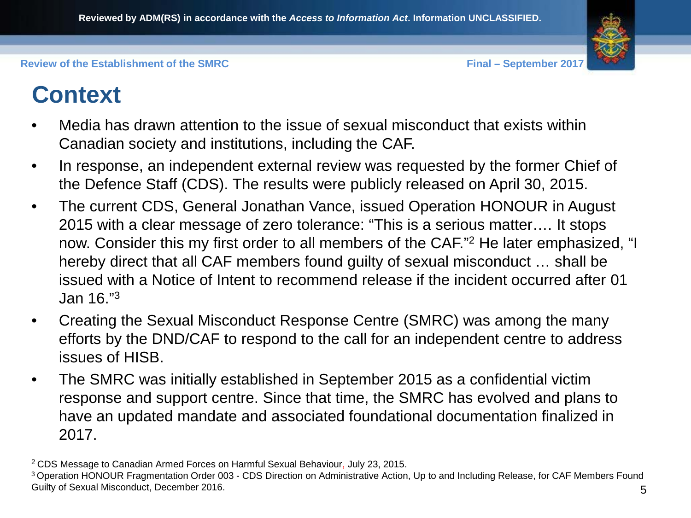## **Context**

- Media has drawn attention to the issue of sexual misconduct that exists within Canadian society and institutions, including the CAF.
- In response, an independent external review was requested by the former Chief of the Defence Staff (CDS). The results were publicly released on April 30, 2015.
- The current CDS, General Jonathan Vance, issued Operation HONOUR in August 2015 with a clear message of zero tolerance: "This is a serious matter…. It stops now. Consider this my first order to all members of the CAF."2 He later emphasized, "I hereby direct that all CAF members found guilty of sexual misconduct … shall be issued with a Notice of Intent to recommend release if the incident occurred after 01 Jan 16."3
- Creating the Sexual Misconduct Response Centre (SMRC) was among the many efforts by the DND/CAF to respond to the call for an independent centre to address issues of HISB.
- The SMRC was initially established in September 2015 as a confidential victim response and support centre. Since that time, the SMRC has evolved and plans to have an updated mandate and associated foundational documentation finalized in 2017.

<sup>2</sup> CDS Message to Canadian Armed Forces on Harmful Sexual Behaviour, July 23, 2015.

<sup>5</sup> 3 Operation HONOUR Fragmentation Order 003 - CDS Direction on Administrative Action, Up to and Including Release, for CAF Members Found Guilty of Sexual Misconduct, December 2016.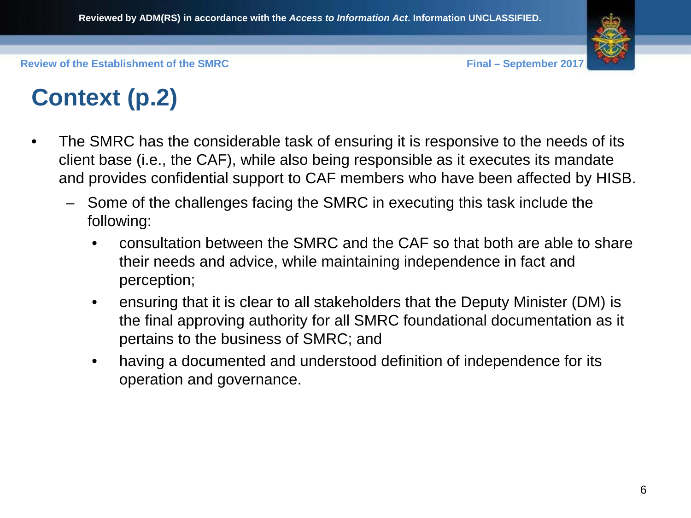## **Context (p.2)**

- The SMRC has the considerable task of ensuring it is responsive to the needs of its client base (i.e., the CAF), while also being responsible as it executes its mandate and provides confidential support to CAF members who have been affected by HISB.
	- Some of the challenges facing the SMRC in executing this task include the following:
		- consultation between the SMRC and the CAF so that both are able to share their needs and advice, while maintaining independence in fact and perception;
		- ensuring that it is clear to all stakeholders that the Deputy Minister (DM) is the final approving authority for all SMRC foundational documentation as it pertains to the business of SMRC; and
		- having a documented and understood definition of independence for its operation and governance.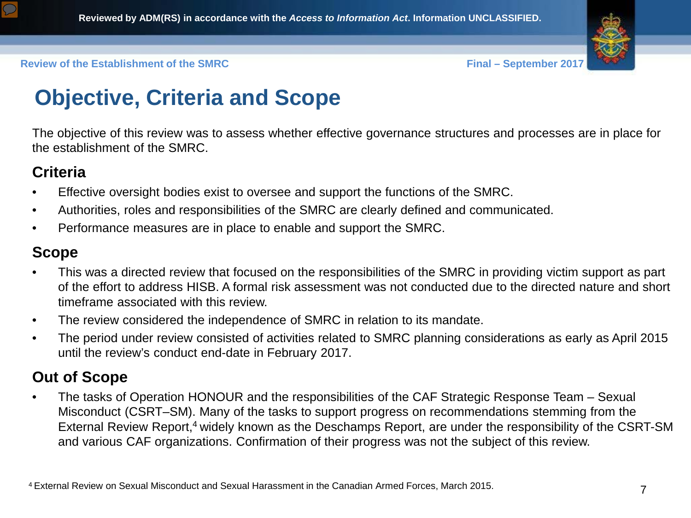



## **Objective, Criteria and Scope**

The objective of this review was to assess whether effective governance structures and processes are in place for the establishment of the SMRC.

#### **Criteria**

- Effective oversight bodies exist to oversee and support the functions of the SMRC.
- Authorities, roles and responsibilities of the SMRC are clearly defined and communicated.
- Performance measures are in place to enable and support the SMRC.

#### **Scope**

- This was a directed review that focused on the responsibilities of the SMRC in providing victim support as part of the effort to address HISB. A formal risk assessment was not conducted due to the directed nature and short timeframe associated with this review.
- The review considered the independence of SMRC in relation to its mandate.
- The period under review consisted of activities related to SMRC planning considerations as early as April 2015 until the review's conduct end-date in February 2017.

#### **Out of Scope**

• The tasks of Operation HONOUR and the responsibilities of the CAF Strategic Response Team – Sexual Misconduct (CSRT–SM). Many of the tasks to support progress on recommendations stemming from the External Review Report,<sup>4</sup> widely known as the Deschamps Report, are under the responsibility of the CSRT-SM and various CAF organizations. Confirmation of their progress was not the subject of this review.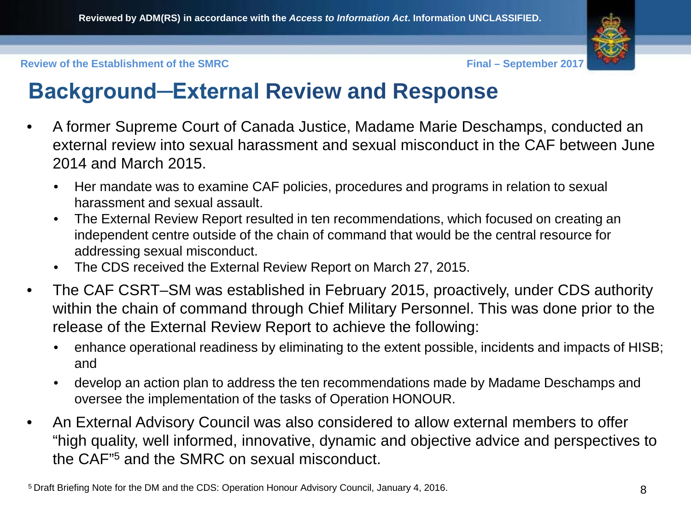

#### **Background─External Review and Response**

- A former Supreme Court of Canada Justice, Madame Marie Deschamps, conducted an external review into sexual harassment and sexual misconduct in the CAF between June 2014 and March 2015.
	- Her mandate was to examine CAF policies, procedures and programs in relation to sexual harassment and sexual assault.
	- The External Review Report resulted in ten recommendations, which focused on creating an independent centre outside of the chain of command that would be the central resource for addressing sexual misconduct.
	- The CDS received the External Review Report on March 27, 2015.
- The CAF CSRT–SM was established in February 2015, proactively, under CDS authority within the chain of command through Chief Military Personnel. This was done prior to the release of the External Review Report to achieve the following:
	- enhance operational readiness by eliminating to the extent possible, incidents and impacts of HISB; and
	- develop an action plan to address the ten recommendations made by Madame Deschamps and oversee the implementation of the tasks of Operation HONOUR.
- An External Advisory Council was also considered to allow external members to offer "high quality, well informed, innovative, dynamic and objective advice and perspectives to the CAF"5 and the SMRC on sexual misconduct.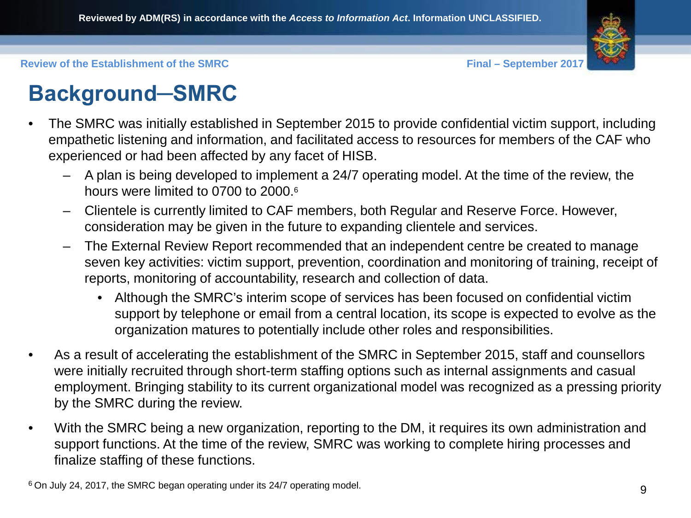

## **Background─SMRC**

- The SMRC was initially established in September 2015 to provide confidential victim support, including empathetic listening and information, and facilitated access to resources for members of the CAF who experienced or had been affected by any facet of HISB.
	- A plan is being developed to implement a 24/7 operating model. At the time of the review, the hours were limited to 0700 to 2000.<sup>6</sup>
	- Clientele is currently limited to CAF members, both Regular and Reserve Force. However, consideration may be given in the future to expanding clientele and services.
	- The External Review Report recommended that an independent centre be created to manage seven key activities: victim support, prevention, coordination and monitoring of training, receipt of reports, monitoring of accountability, research and collection of data.
		- Although the SMRC's interim scope of services has been focused on confidential victim support by telephone or email from a central location, its scope is expected to evolve as the organization matures to potentially include other roles and responsibilities.
- As a result of accelerating the establishment of the SMRC in September 2015, staff and counsellors were initially recruited through short-term staffing options such as internal assignments and casual employment. Bringing stability to its current organizational model was recognized as a pressing priority by the SMRC during the review.
- With the SMRC being a new organization, reporting to the DM, it requires its own administration and support functions. At the time of the review, SMRC was working to complete hiring processes and finalize staffing of these functions.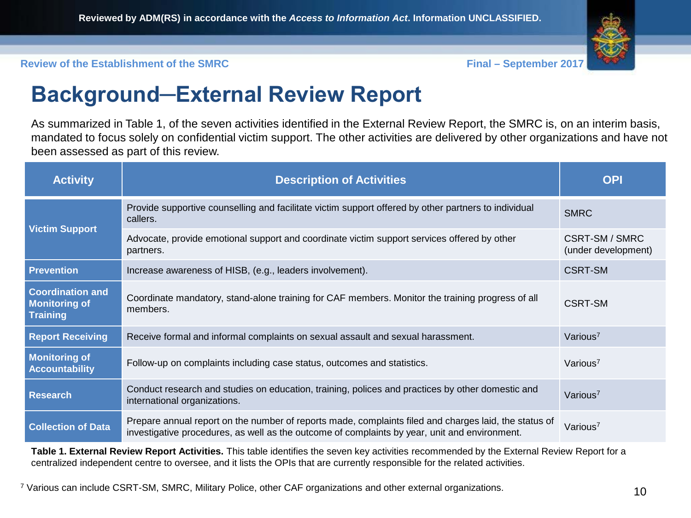

#### **Background─External Review Report**

As summarized in Table 1, of the seven activities identified in the External Review Report, the SMRC is, on an interim basis, mandated to focus solely on confidential victim support. The other activities are delivered by other organizations and have not been assessed as part of this review.

| <b>Activity</b>                                                    | <b>Description of Activities</b>                                                                                                                                                                       | <b>OPI</b>                            |
|--------------------------------------------------------------------|--------------------------------------------------------------------------------------------------------------------------------------------------------------------------------------------------------|---------------------------------------|
| <b>Victim Support</b>                                              | Provide supportive counselling and facilitate victim support offered by other partners to individual<br>callers.                                                                                       | <b>SMRC</b>                           |
|                                                                    | Advocate, provide emotional support and coordinate victim support services offered by other<br>partners.                                                                                               | CSRT-SM / SMRC<br>(under development) |
| <b>Prevention</b>                                                  | Increase awareness of HISB, (e.g., leaders involvement).                                                                                                                                               | CSRT-SM                               |
| <b>Coordination and</b><br><b>Monitoring of</b><br><b>Training</b> | Coordinate mandatory, stand-alone training for CAF members. Monitor the training progress of all<br>members.                                                                                           | CSRT-SM                               |
| <b>Report Receiving</b>                                            | Receive formal and informal complaints on sexual assault and sexual harassment.                                                                                                                        | Various <sup>7</sup>                  |
| <b>Monitoring of</b><br><b>Accountability</b>                      | Follow-up on complaints including case status, outcomes and statistics.                                                                                                                                | Various <sup>7</sup>                  |
| <b>Research</b>                                                    | Conduct research and studies on education, training, polices and practices by other domestic and<br>international organizations.                                                                       | Various <sup>7</sup>                  |
| <b>Collection of Data</b>                                          | Prepare annual report on the number of reports made, complaints filed and charges laid, the status of<br>investigative procedures, as well as the outcome of complaints by year, unit and environment. | Various <sup>7</sup>                  |

**Table 1. External Review Report Activities.** This table identifies the seven key activities recommended by the External Review Report for a centralized independent centre to oversee, and it lists the OPIs that are currently responsible for the related activities.

<sup>7</sup> Various can include CSRT-SM, SMRC, Military Police, other CAF organizations and other external organizations.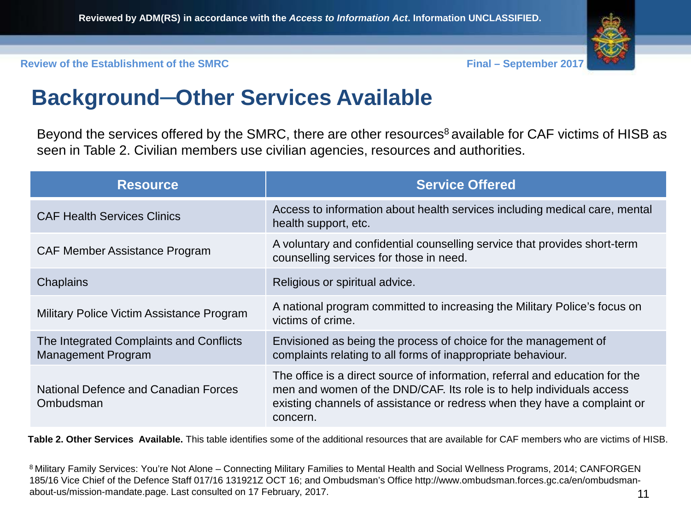

#### **Background─Other Services Available**

Beyond the services offered by the SMRC, there are other resources<sup>8</sup> available for CAF victims of HISB as seen in Table 2. Civilian members use civilian agencies, resources and authorities.

| <b>Resource</b>                                                      | <b>Service Offered</b>                                                                                                                                                                                                                       |
|----------------------------------------------------------------------|----------------------------------------------------------------------------------------------------------------------------------------------------------------------------------------------------------------------------------------------|
| <b>CAF Health Services Clinics</b>                                   | Access to information about health services including medical care, mental<br>health support, etc.                                                                                                                                           |
| <b>CAF Member Assistance Program</b>                                 | A voluntary and confidential counselling service that provides short-term<br>counselling services for those in need.                                                                                                                         |
| Chaplains                                                            | Religious or spiritual advice.                                                                                                                                                                                                               |
| Military Police Victim Assistance Program                            | A national program committed to increasing the Military Police's focus on<br>victims of crime.                                                                                                                                               |
| The Integrated Complaints and Conflicts<br><b>Management Program</b> | Envisioned as being the process of choice for the management of<br>complaints relating to all forms of inappropriate behaviour.                                                                                                              |
| National Defence and Canadian Forces<br>Ombudsman                    | The office is a direct source of information, referral and education for the<br>men and women of the DND/CAF. Its role is to help individuals access<br>existing channels of assistance or redress when they have a complaint or<br>concern. |

**Table 2. Other Services Available.** This table identifies some of the additional resources that are available for CAF members who are victims of HISB.

8 Military Family Services: You're Not Alone – Connecting Military Families to Mental Health and Social Wellness Programs, 2014; CANFORGEN 185/16 Vice Chief of the Defence Staff 017/16 131921Z OCT 16; and Ombudsman's Office http://www.ombudsman.forces.gc.ca/en/ombudsmanabout-us/mission-mandate.page. Last consulted on 17 February, 2017.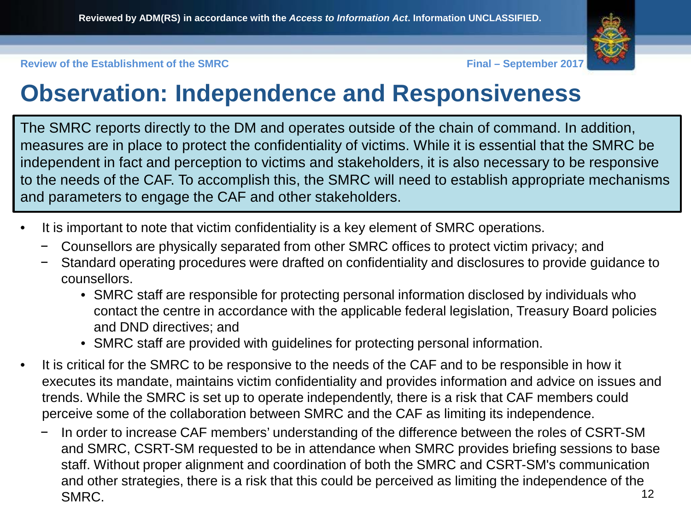

## **Observation: Independence and Responsiveness**

The SMRC reports directly to the DM and operates outside of the chain of command. In addition, measures are in place to protect the confidentiality of victims. While it is essential that the SMRC be independent in fact and perception to victims and stakeholders, it is also necessary to be responsive to the needs of the CAF. To accomplish this, the SMRC will need to establish appropriate mechanisms and parameters to engage the CAF and other stakeholders.

- It is important to note that victim confidentiality is a key element of SMRC operations.
	- − Counsellors are physically separated from other SMRC offices to protect victim privacy; and
	- − Standard operating procedures were drafted on confidentiality and disclosures to provide guidance to counsellors.
		- SMRC staff are responsible for protecting personal information disclosed by individuals who contact the centre in accordance with the applicable federal legislation, Treasury Board policies and DND directives; and
		- SMRC staff are provided with guidelines for protecting personal information.
- It is critical for the SMRC to be responsive to the needs of the CAF and to be responsible in how it executes its mandate, maintains victim confidentiality and provides information and advice on issues and trends. While the SMRC is set up to operate independently, there is a risk that CAF members could perceive some of the collaboration between SMRC and the CAF as limiting its independence.
	- In order to increase CAF members' understanding of the difference between the roles of CSRT-SM and SMRC, CSRT-SM requested to be in attendance when SMRC provides briefing sessions to base staff. Without proper alignment and coordination of both the SMRC and CSRT-SM's communication and other strategies, there is a risk that this could be perceived as limiting the independence of the SMRC. 2012 12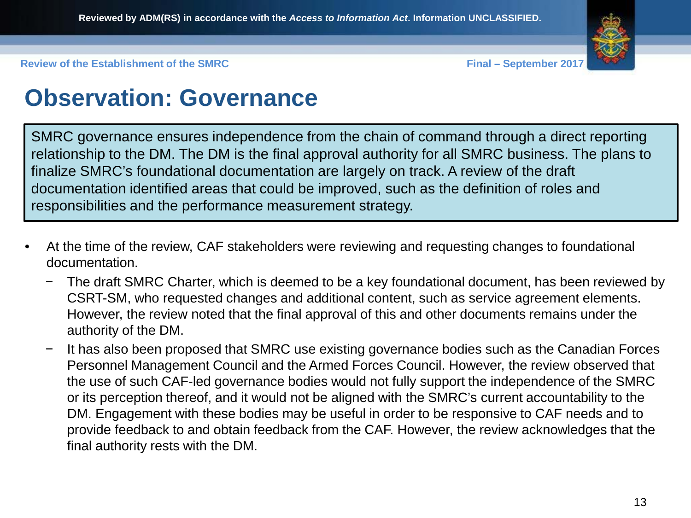

## **Observation: Governance**

SMRC governance ensures independence from the chain of command through a direct reporting relationship to the DM. The DM is the final approval authority for all SMRC business. The plans to finalize SMRC's foundational documentation are largely on track. A review of the draft documentation identified areas that could be improved, such as the definition of roles and responsibilities and the performance measurement strategy.

- At the time of the review, CAF stakeholders were reviewing and requesting changes to foundational documentation.
	- The draft SMRC Charter, which is deemed to be a key foundational document, has been reviewed by CSRT-SM, who requested changes and additional content, such as service agreement elements. However, the review noted that the final approval of this and other documents remains under the authority of the DM.
	- It has also been proposed that SMRC use existing governance bodies such as the Canadian Forces Personnel Management Council and the Armed Forces Council. However, the review observed that the use of such CAF-led governance bodies would not fully support the independence of the SMRC or its perception thereof, and it would not be aligned with the SMRC's current accountability to the DM. Engagement with these bodies may be useful in order to be responsive to CAF needs and to provide feedback to and obtain feedback from the CAF. However, the review acknowledges that the final authority rests with the DM.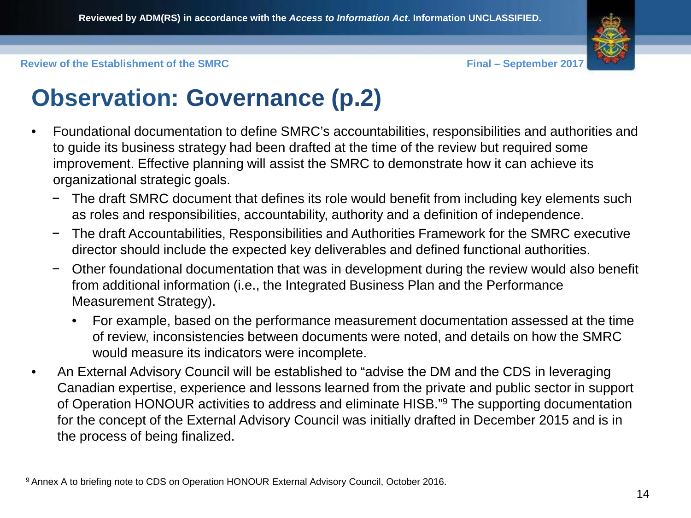

## **Observation: Governance (p.2)**

- Foundational documentation to define SMRC's accountabilities, responsibilities and authorities and to guide its business strategy had been drafted at the time of the review but required some improvement. Effective planning will assist the SMRC to demonstrate how it can achieve its organizational strategic goals.
	- The draft SMRC document that defines its role would benefit from including key elements such as roles and responsibilities, accountability, authority and a definition of independence.
	- − The draft Accountabilities, Responsibilities and Authorities Framework for the SMRC executive director should include the expected key deliverables and defined functional authorities.
	- − Other foundational documentation that was in development during the review would also benefit from additional information (i.e., the Integrated Business Plan and the Performance Measurement Strategy).
		- For example, based on the performance measurement documentation assessed at the time of review, inconsistencies between documents were noted, and details on how the SMRC would measure its indicators were incomplete.
- An External Advisory Council will be established to "advise the DM and the CDS in leveraging Canadian expertise, experience and lessons learned from the private and public sector in support of Operation HONOUR activities to address and eliminate HISB."9 The supporting documentation for the concept of the External Advisory Council was initially drafted in December 2015 and is in the process of being finalized.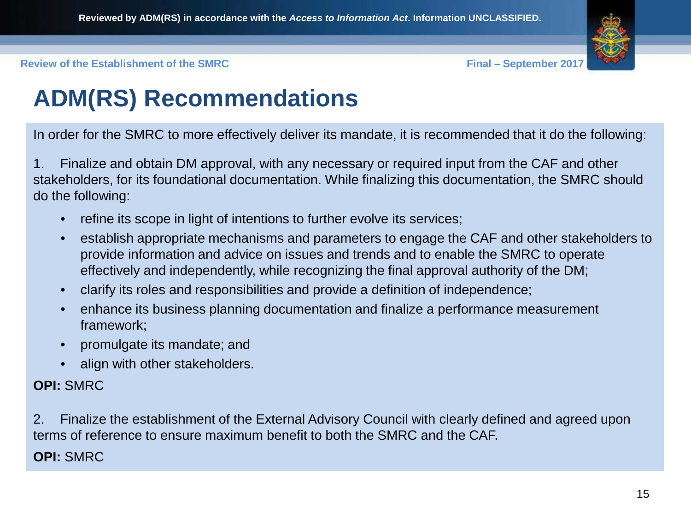

## **ADM(RS) Recommendations**

In order for the SMRC to more effectively deliver its mandate, it is recommended that it do the following:

1. Finalize and obtain DM approval, with any necessary or required input from the CAF and other stakeholders, for its foundational documentation. While finalizing this documentation, the SMRC should do the following:

- refine its scope in light of intentions to further evolve its services;
- establish appropriate mechanisms and parameters to engage the CAF and other stakeholders to provide information and advice on issues and trends and to enable the SMRC to operate effectively and independently, while recognizing the final approval authority of the DM;
- clarify its roles and responsibilities and provide a definition of independence;
- enhance its business planning documentation and finalize a performance measurement framework;
- promulgate its mandate; and
- align with other stakeholders.

#### **OPI:** SMRC

2. Finalize the establishment of the External Advisory Council with clearly defined and agreed upon terms of reference to ensure maximum benefit to both the SMRC and the CAF.

**OPI:** SMRC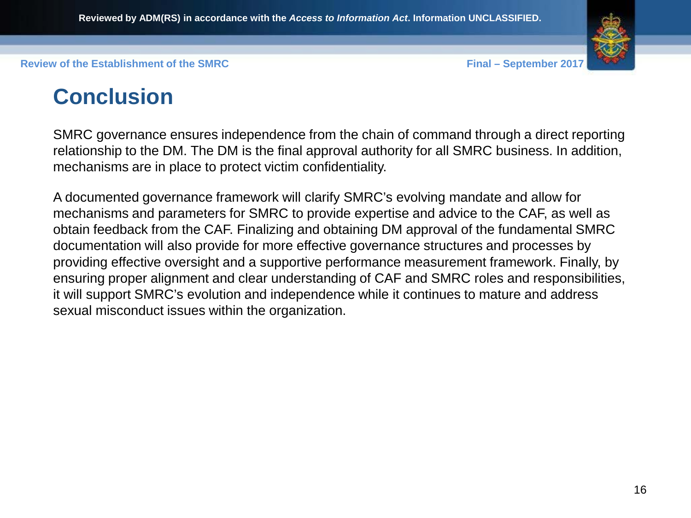

### **Conclusion**

SMRC governance ensures independence from the chain of command through a direct reporting relationship to the DM. The DM is the final approval authority for all SMRC business. In addition, mechanisms are in place to protect victim confidentiality.

A documented governance framework will clarify SMRC's evolving mandate and allow for mechanisms and parameters for SMRC to provide expertise and advice to the CAF, as well as obtain feedback from the CAF. Finalizing and obtaining DM approval of the fundamental SMRC documentation will also provide for more effective governance structures and processes by providing effective oversight and a supportive performance measurement framework. Finally, by ensuring proper alignment and clear understanding of CAF and SMRC roles and responsibilities, it will support SMRC's evolution and independence while it continues to mature and address sexual misconduct issues within the organization.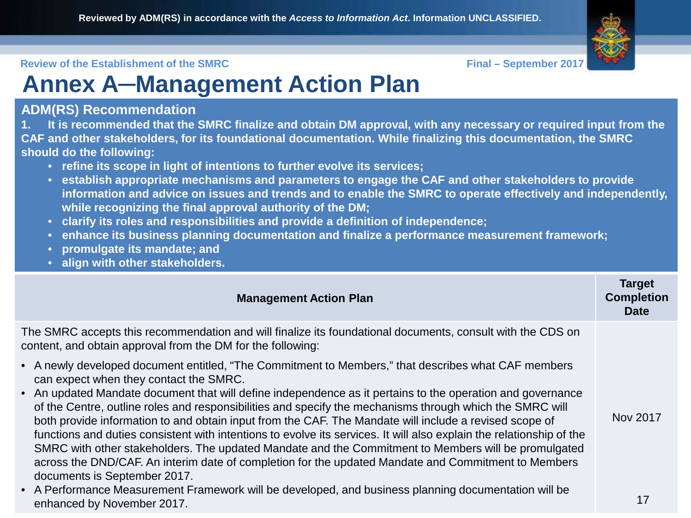## **Annex A**─**Management Action Plan**

#### **ADM(RS) Recommendation**

**1. It is recommended that the SMRC finalize and obtain DM approval, with any necessary or required input from the CAF and other stakeholders, for its foundational documentation. While finalizing this documentation, the SMRC should do the following:**

- **refine its scope in light of intentions to further evolve its services;**
- **establish appropriate mechanisms and parameters to engage the CAF and other stakeholders to provide information and advice on issues and trends and to enable the SMRC to operate effectively and independently, while recognizing the final approval authority of the DM;**
- **clarify its roles and responsibilities and provide a definition of independence;**
- **enhance its business planning documentation and finalize a performance measurement framework;**
- **promulgate its mandate; and**
- **align with other stakeholders.**

| <b>Management Action Plan</b>                                                                                                                                                                                                                                                                                                                                                                                                                                                                                                                                                                                                                                                                                                                                                                                                                           | <b>Target</b><br><b>Completion</b><br><b>Date</b> |
|---------------------------------------------------------------------------------------------------------------------------------------------------------------------------------------------------------------------------------------------------------------------------------------------------------------------------------------------------------------------------------------------------------------------------------------------------------------------------------------------------------------------------------------------------------------------------------------------------------------------------------------------------------------------------------------------------------------------------------------------------------------------------------------------------------------------------------------------------------|---------------------------------------------------|
| The SMRC accepts this recommendation and will finalize its foundational documents, consult with the CDS on<br>content, and obtain approval from the DM for the following:                                                                                                                                                                                                                                                                                                                                                                                                                                                                                                                                                                                                                                                                               |                                                   |
| • A newly developed document entitled, "The Commitment to Members," that describes what CAF members<br>can expect when they contact the SMRC.<br>• An updated Mandate document that will define independence as it pertains to the operation and governance<br>of the Centre, outline roles and responsibilities and specify the mechanisms through which the SMRC will<br>both provide information to and obtain input from the CAF. The Mandate will include a revised scope of<br>functions and duties consistent with intentions to evolve its services. It will also explain the relationship of the<br>SMRC with other stakeholders. The updated Mandate and the Commitment to Members will be promulgated<br>across the DND/CAF. An interim date of completion for the updated Mandate and Commitment to Members<br>documents is September 2017. | Nov 2017                                          |
| • A Performance Measurement Framework will be developed, and business planning documentation will be<br>enhanced by November 2017.                                                                                                                                                                                                                                                                                                                                                                                                                                                                                                                                                                                                                                                                                                                      | 17                                                |